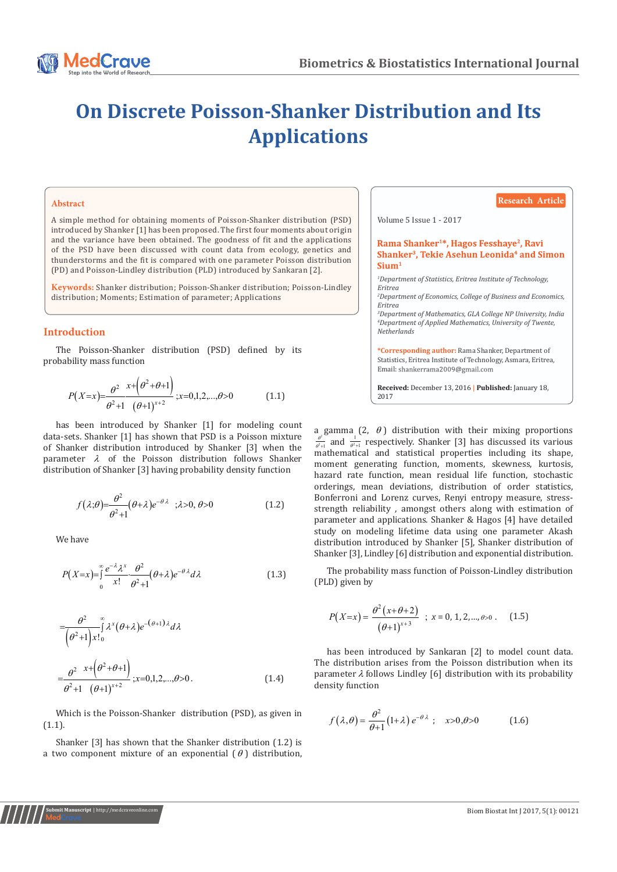

# **On Discrete Poisson-Shanker Distribution and Its Applications**

#### **Abstract**

A simple method for obtaining moments of Poisson-Shanker distribution (PSD) introduced by Shanker [1] has been proposed. The first four moments about origin and the variance have been obtained. The goodness of fit and the applications of the PSD have been discussed with count data from ecology, genetics and thunderstorms and the fit is compared with one parameter Poisson distribution (PD) and Poisson-Lindley distribution (PLD) introduced by Sankaran [2].

**Keywords:** Shanker distribution; Poisson-Shanker distribution; Poisson-Lindley distribution; Moments; Estimation of parameter; Applications

# **Introduction**

The Poisson-Shanker distribution (PSD) defined by its probability mass function

$$
P(X=x) = \frac{\theta^2}{\theta^2 + 1} \frac{x + (\theta^2 + \theta + 1)}{(\theta + 1)^{x+2}}; x = 0, 1, 2, \dots, \theta > 0
$$
 (1.1)

has been introduced by Shanker [1] for modeling count data-sets. Shanker [1] has shown that PSD is a Poisson mixture of Shanker distribution introduced by Shanker [3] when the parameter  $\lambda$  of the Poisson distribution follows Shanker distribution of Shanker [3] having probability density function

$$
f(\lambda;\theta) = \frac{\theta^2}{\theta^2 + 1} (\theta + \lambda) e^{-\theta \lambda} \quad ; \lambda > 0, \theta > 0
$$
 (1.2)

We have

**Submit Manuscript** | http://medcraveonline.com

$$
P(X=x) = \int_{0}^{\infty} \frac{e^{-\lambda} \lambda^{x}}{x!} \frac{\theta^{2}}{\theta^{2}+1} (\theta + \lambda) e^{-\theta \lambda} d\lambda
$$
 (1.3)

$$
= \frac{\theta^2}{(\theta^2 + 1)x!} \int_{0}^{\infty} \lambda^x (\theta + \lambda) e^{-(\theta + 1)\lambda} d\lambda
$$
  

$$
= \frac{\theta^2}{\theta^2 + 1} \frac{x + (\theta^2 + \theta + 1)}{(\theta + 1)^{x+2}}; x = 0, 1, 2, ..., \theta > 0.
$$
 (1.4)

Which is the Poisson-Shanker distribution (PSD), as given in (1.1).

Shanker [3] has shown that the Shanker distribution (1.2) is a two component mixture of an exponential  $(\theta)$  distribution,

## **Research Article**

Volume 5 Issue 1 - 2017

Rama Shanker<sup>1\*</sup>, Hagos Fesshaye<sup>2</sup>, Ravi Shanker<sup>3</sup>, Tekie Asehun Leonida<sup>4</sup> and Simon  $Simm<sup>1</sup>$ 

*1 Department of Statistics, Eritrea Institute of Technology, Eritrea*

*2 Department of Economics, College of Business and Economics, Eritrea*

*3 Department of Mathematics, GLA College NP University, India 4 Department of Applied Mathematics, University of Twente, Netherlands*

**\*Corresponding author:** Rama Shanker, Department of Statistics, Eritrea Institute of Technology, Asmara, Eritrea, Email: shankerrama2009@gmail.com

**Received:** December 13, 2016 **| Published:** January 18, 2017

a gamma (2,  $\theta$ ) distribution with their mixing proportions  $\frac{\theta^2}{\theta^2+1}$  and  $\frac{1}{\theta^2+1}$  respectively. Shanker [3] has discussed its various mathematical and statistical properties including its shape, moment generating function, moments, skewness, kurtosis, hazard rate function, mean residual life function, stochastic orderings, mean deviations, distribution of order statistics, Bonferroni and Lorenz curves, Renyi entropy measure, stressstrength reliability , amongst others along with estimation of parameter and applications. Shanker & Hagos [4] have detailed study on modeling lifetime data using one parameter Akash distribution introduced by Shanker [5], Shanker distribution of Shanker [3], Lindley [6] distribution and exponential distribution.

The probability mass function of Poisson-Lindley distribution (PLD) given by

$$
P(X=x) = \frac{\theta^2 (x+\theta+2)}{(\theta+1)^{x+3}} \; ; \; x = 0, 1, 2, \ldots, \theta > 0 \; . \tag{1.5}
$$

has been introduced by Sankaran [2] to model count data. The distribution arises from the Poisson distribution when its parameter  $\lambda$  follows Lindley [6] distribution with its probability density function

$$
f(\lambda,\theta) = \frac{\theta^2}{\theta+1} (1+\lambda) e^{-\theta \lambda} \; ; \quad x > 0, \theta > 0 \tag{1.6}
$$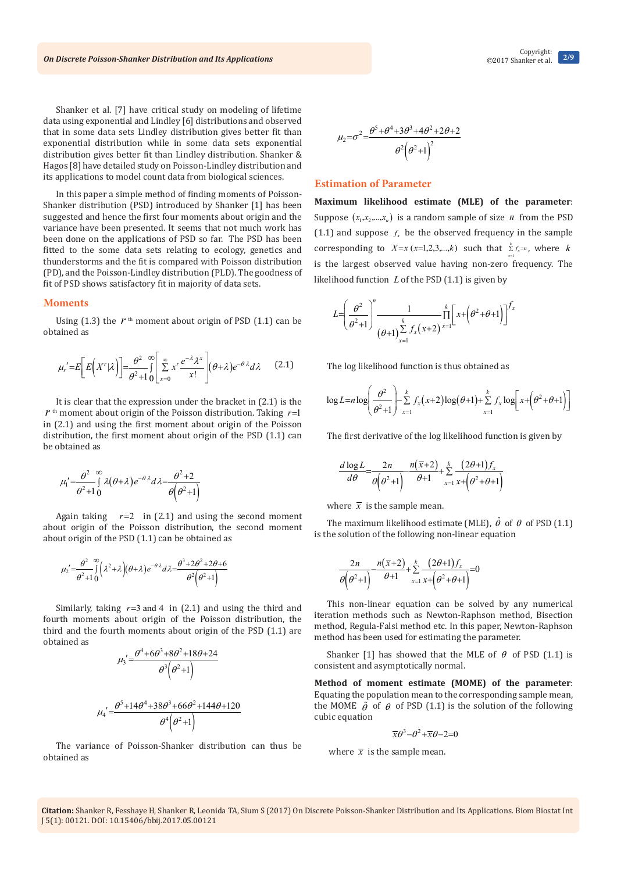Shanker et al. [7] have critical study on modeling of lifetime data using exponential and Lindley [6] distributions and observed that in some data sets Lindley distribution gives better fit than exponential distribution while in some data sets exponential distribution gives better fit than Lindley distribution. Shanker & Hagos [8] have detailed study on Poisson-Lindley distribution and its applications to model count data from biological sciences.

In this paper a simple method of finding moments of Poisson-Shanker distribution (PSD) introduced by Shanker [1] has been suggested and hence the first four moments about origin and the variance have been presented. It seems that not much work has been done on the applications of PSD so far. The PSD has been fitted to the some data sets relating to ecology, genetics and thunderstorms and the fit is compared with Poisson distribution (PD), and the Poisson-Lindley distribution (PLD). The goodness of fit of PSD shows satisfactory fit in majority of data sets.

#### **Moments**

Using  $(1.3)$  the  $r<sup>th</sup>$  moment about origin of PSD  $(1.1)$  can be obtained as

$$
\mu_r' = E\bigg[E\bigg(X^r|\lambda\bigg)\bigg] = \frac{\theta^2}{\theta^2 + 1} \int_{0}^{\infty} \left[\sum_{x=0}^{\infty} x^r \frac{e^{-\lambda} \lambda^x}{x!} \right] (\theta + \lambda) e^{-\theta \lambda} d\lambda \qquad (2.1)
$$

It is clear that the expression under the bracket in (2.1) is the  $r$ <sup>th</sup> moment about origin of the Poisson distribution. Taking  $r=1$ in (2.1) and using the first moment about origin of the Poisson distribution, the first moment about origin of the PSD (1.1) can be obtained as

$$
\mu_1' = \frac{\theta^2}{\theta^2 + 1} \int_{0}^{\infty} \lambda(\theta + \lambda) e^{-\theta \lambda} d\lambda = \frac{\theta^2 + 2}{\theta(\theta^2 + 1)}
$$

Again taking  $r=2$  in (2.1) and using the second moment about origin of the Poisson distribution, the second moment about origin of the PSD (1.1) can be obtained as

$$
\mu_2' = \frac{\theta^2}{\theta^2 + 1} \int_0^\infty (\lambda^2 + \lambda)(\theta + \lambda) e^{-\theta \lambda} d\lambda = \frac{\theta^3 + 2\theta^2 + 2\theta + 6}{\theta^2 (\theta^2 + 1)}
$$

Similarly, taking  $r=3$  and 4 in (2.1) and using the third and fourth moments about origin of the Poisson distribution, the third and the fourth moments about origin of the PSD (1.1) are obtained as

$$
\mu_3' = \frac{\theta^4 + 6\theta^3 + 8\theta^2 + 18\theta + 24}{\theta^3 \left(\theta^2 + 1\right)}
$$

$$
\mu_4' = \frac{\theta^5 + 14\theta^4 + 38\theta^3 + 66\theta^2 + 144\theta + 120}{\theta^4 \left(\theta^2 + 1\right)}
$$

The variance of Poisson-Shanker distribution can thus be obtained as

$$
\mu_2 = \sigma^2 = \frac{\theta^5 + \theta^4 + 3\theta^3 + 4\theta^2 + 2\theta + 2}{\theta^2 \left(\theta^2 + 1\right)^2}
$$

## **Estimation of Parameter**

**Maximum likelihood estimate (MLE) of the parameter**: Suppose  $(x_1, x_2, \ldots, x_n)$  is a random sample of size *n* from the PSD (1.1) and suppose  $f_x$  be the observed frequency in the sample corresponding to  $X=x$  ( $x=1,2,3,...,k$ ) such that  $\sum_{x=1}^{k} f_x = n$ , where *k x* = is the largest observed value having non-zero frequency. The likelihood function *L* of the PSD (1.1) is given by

$$
L = \left(\frac{\theta^2}{\theta^2 + 1}\right)^n \frac{1}{\left(\theta + 1\right) \sum_{x=1}^k f_x(x+2)^{x=1}} \prod_{y=1}^k \left[x + \left(\theta^2 + \theta + 1\right)\right]^{f_x}
$$

The log likelihood function is thus obtained as

$$
\log L = n \log \left( \frac{\theta^2}{\theta^2 + 1} \right) - \sum_{x=1}^k f_x(x+2) \log(\theta + 1) + \sum_{x=1}^k f_x \log \left[ x + \left( \theta^2 + \theta + 1 \right) \right]
$$

The first derivative of the log likelihood function is given by

$$
\frac{d \log L}{d\theta} = \frac{2n}{\theta(\theta^2+1)} - \frac{n(\overline{x}+2)}{\theta+1} + \sum_{x=1}^k \frac{(2\theta+1)f_x}{x+(\theta^2+\theta+1)}
$$

where  $\bar{x}$  is the sample mean.

The maximum likelihood estimate (MLE),  $\hat{\theta}$  of  $\theta$  of PSD (1.1) is the solution of the following non-linear equation

$$
\frac{2n}{\theta\left(\theta^2+1\right)}\frac{n(\overline{x}+2)}{\theta+1}+\sum_{x=1}^k\frac{(2\theta+1)f_x}{x+\left(\theta^2+\theta+1\right)}=0
$$

This non-linear equation can be solved by any numerical iteration methods such as Newton-Raphson method, Bisection method, Regula-Falsi method etc. In this paper, Newton-Raphson method has been used for estimating the parameter.

Shanker [1] has showed that the MLE of  $\theta$  of PSD (1.1) is consistent and asymptotically normal.

**Method of moment estimate (MOME) of the parameter**: Equating the population mean to the corresponding sample mean, the MOME  $\tilde{\theta}$  of  $\theta$  of PSD (1.1) is the solution of the following cubic equation

$$
\overline{x}\theta^3 - \theta^2 + \overline{x}\theta - 2 = 0
$$

where  $\bar{x}$  is the sample mean.

**Citation:** Shanker R, Fesshaye H, Shanker R, Leonida TA, Sium S (2017) On Discrete Poisson-Shanker Distribution and Its Applications. Biom Biostat Int J 5(1): 00121. DOI: [10.15406/bbij.2017.05.00121](http://dx.doi.org/10.15406/bbij.2017.05.00121)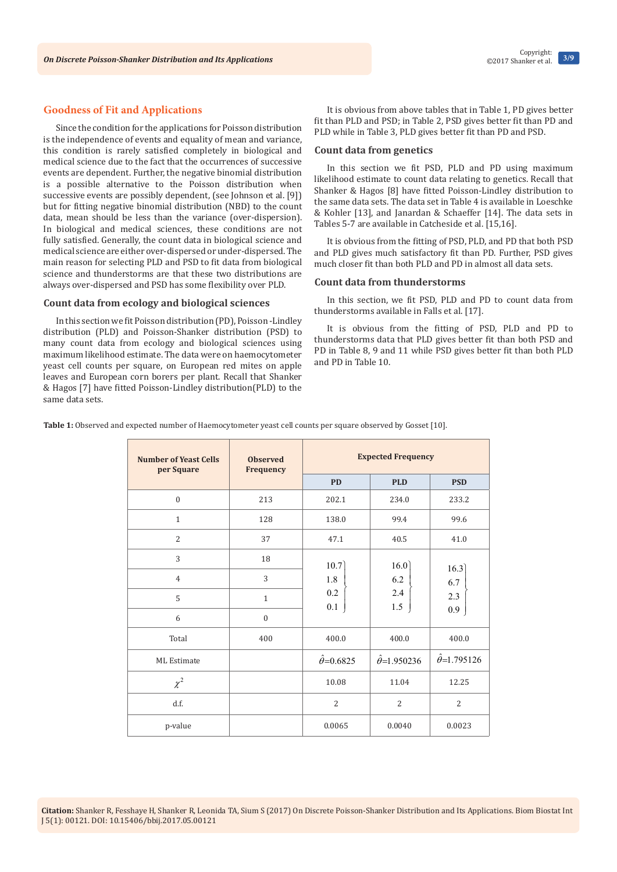# **Goodness of Fit and Applications**

Since the condition for the applications for Poisson distribution is the independence of events and equality of mean and variance, this condition is rarely satisfied completely in biological and medical science due to the fact that the occurrences of successive events are dependent. Further, the negative binomial distribution is a possible alternative to the Poisson distribution when successive events are possibly dependent, (see Johnson et al. [9]) but for fitting negative binomial distribution (NBD) to the count data, mean should be less than the variance (over-dispersion). In biological and medical sciences, these conditions are not fully satisfied. Generally, the count data in biological science and medical science are either over-dispersed or under-dispersed. The main reason for selecting PLD and PSD to fit data from biological science and thunderstorms are that these two distributions are always over-dispersed and PSD has some flexibility over PLD.

## **Count data from ecology and biological sciences**

In this section we fit Poisson distribution (PD), Poisson -Lindley distribution (PLD) and Poisson-Shanker distribution (PSD) to many count data from ecology and biological sciences using maximum likelihood estimate. The data were on haemocytometer yeast cell counts per square, on European red mites on apple leaves and European corn borers per plant. Recall that Shanker & Hagos [7] have fitted Poisson-Lindley distribution(PLD) to the same data sets.

It is obvious from above tables that in Table 1, PD gives better fit than PLD and PSD; in Table 2, PSD gives better fit than PD and PLD while in Table 3, PLD gives better fit than PD and PSD.

### **Count data from genetics**

In this section we fit PSD, PLD and PD using maximum likelihood estimate to count data relating to genetics. Recall that Shanker & Hagos [8] have fitted Poisson-Lindley distribution to the same data sets. The data set in Table 4 is available in Loeschke & Kohler [13], and Janardan & Schaeffer [14]. The data sets in Tables 5-7 are available in Catcheside et al. [15,16].

It is obvious from the fitting of PSD, PLD, and PD that both PSD and PLD gives much satisfactory fit than PD. Further, PSD gives much closer fit than both PLD and PD in almost all data sets.

## **Count data from thunderstorms**

In this section, we fit PSD, PLD and PD to count data from thunderstorms available in Falls et al. [17].

It is obvious from the fitting of PSD, PLD and PD to thunderstorms data that PLD gives better fit than both PSD and PD in Table 8, 9 and 11 while PSD gives better fit than both PLD and PD in Table 10.

**Table 1:** Observed and expected number of Haemocytometer yeast cell counts per square observed by Gosset [10].

| <b>Number of Yeast Cells</b><br>per Square | <b>Observed</b><br>Frequency | <b>Expected Frequency</b> |                           |                          |
|--------------------------------------------|------------------------------|---------------------------|---------------------------|--------------------------|
|                                            |                              | <b>PD</b>                 | <b>PLD</b>                | <b>PSD</b>               |
| $\boldsymbol{0}$                           | 213                          | 202.1                     | 234.0                     | 233.2                    |
| $\mathbf{1}$                               | 128                          | 138.0                     | 99.4                      | 99.6                     |
| $\overline{2}$                             | 37                           | 47.1                      | 40.5                      | 41.0                     |
| 3                                          | 18                           | 10.7                      | 16.0                      |                          |
| $\overline{4}$                             | 3                            | 1.8                       | 6.2                       | 16.3<br>6.7              |
| 5                                          | $\mathbf{1}$                 | 0.2                       | 2.4                       | 2.3                      |
| 6                                          | $\mathbf{0}$                 | 0.1                       | 1.5                       | 0.9                      |
| Total                                      | 400                          | 400.0                     | 400.0                     | 400.0                    |
| ML Estimate                                |                              | $\hat{\theta} = 0.6825$   | $\hat{\theta} = 1.950236$ | $\hat{\theta}$ =1.795126 |
| $\chi^2$                                   |                              | 10.08                     | 11.04                     | 12.25                    |
| d.f.                                       |                              | $\overline{2}$            | $\overline{2}$            | $\overline{2}$           |
| p-value                                    |                              | 0.0065                    | 0.0040                    | 0.0023                   |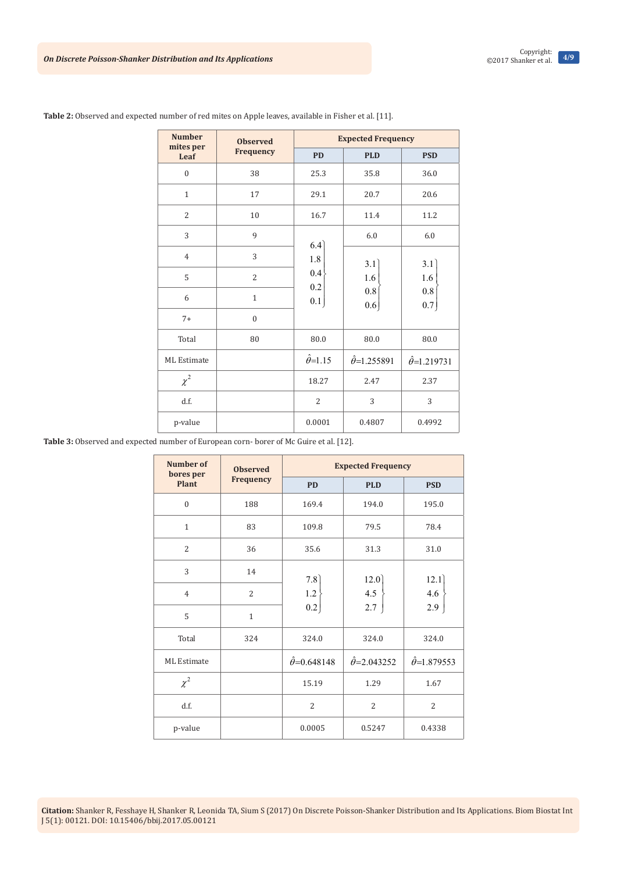| <b>Number</b>      | <b>Observed</b><br>mites per |                       | <b>Expected Frequency</b> |                          |                |  |
|--------------------|------------------------------|-----------------------|---------------------------|--------------------------|----------------|--|
| Leaf               | Frequency                    | <b>PD</b>             | <b>PLD</b>                | <b>PSD</b>               |                |  |
| $\mathbf{0}$       | 38                           | 25.3                  | 35.8                      | 36.0                     |                |  |
| $\mathbf{1}$       | 17                           | 29.1                  | 20.7                      | 20.6                     |                |  |
| $\overline{2}$     | 10                           | 16.7                  | 11.4                      | 11.2                     |                |  |
| 3                  | 9                            | 6.4                   | 6.0                       | 6.0                      |                |  |
| $\overline{4}$     | 3                            | 1.8<br>0.4<br>0.2     | 3.1                       | 3.1                      |                |  |
| 5                  | $\overline{2}$               |                       | 0.1                       | 1.6                      | 1.6            |  |
| 6                  | $\mathbf{1}$                 |                       |                           | $0.8\,$<br>0.6           | $0.8\,$<br>0.7 |  |
| $7+$               | $\overline{0}$               |                       |                           |                          |                |  |
| Total              | 80                           | 80.0                  | 80.0                      | $80.0\,$                 |                |  |
| <b>ML</b> Estimate |                              | $\hat{\theta} = 1.15$ | $\hat{\theta}$ =1.255891  | $\hat{\theta}$ =1.219731 |                |  |
| $\chi^2$           |                              | 18.27                 | 2.47                      | 2.37                     |                |  |
| d.f.               |                              | $\overline{2}$        | 3                         | 3                        |                |  |
| p-value            |                              | 0.0001                | 0.4807                    | 0.4992                   |                |  |

**Table 2:** Observed and expected number of red mites on Apple leaves, available in Fisher et al. [11].

**Table 3:** Observed and expected number of European corn- borer of Mc Guire et al. [12].

| Number of<br>bores per | <b>Observed</b>  | <b>Expected Frequency</b> |                           |                          |  |
|------------------------|------------------|---------------------------|---------------------------|--------------------------|--|
| <b>Plant</b>           | <b>Frequency</b> | <b>PD</b>                 | <b>PLD</b>                | <b>PSD</b>               |  |
| $\theta$               | 188              | 169.4                     | 194.0                     | 195.0                    |  |
| $\mathbf{1}$           | 83               | 109.8                     | 79.5                      | 78.4                     |  |
| $\overline{2}$         | 36               | 35.6                      | 31.3                      | 31.0                     |  |
| 3                      | 14               | 7.8                       | 12.0                      | 12.1                     |  |
| $\overline{4}$         | $\overline{2}$   | 1.2                       | 4.5                       | 4.6                      |  |
| 5                      | $\mathbf{1}$     | 0.2                       | 2.7                       | 2.9                      |  |
| Total                  | 324              | 324.0                     | 324.0                     | 324.0                    |  |
| <b>ML</b> Estimate     |                  | $\hat{\theta} = 0.648148$ | $\hat{\theta} = 2.043252$ | $\hat{\theta}$ =1.879553 |  |
| $\chi^2$               |                  | 15.19                     | 1.29                      | 1.67                     |  |
| d.f.                   |                  | $\overline{2}$            | $\overline{2}$            | $\overline{2}$           |  |
| p-value                |                  | 0.0005                    | 0.5247                    | 0.4338                   |  |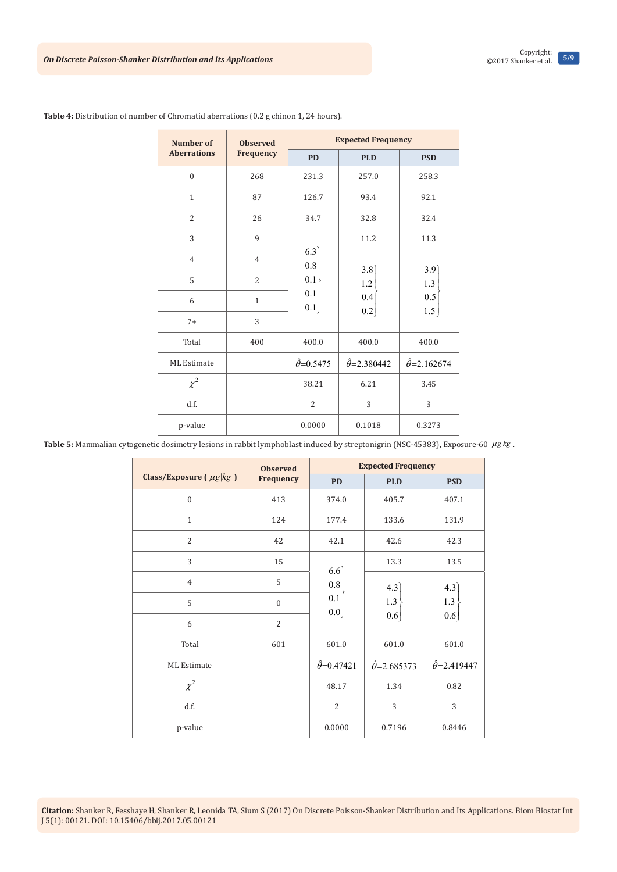| <b>Number of</b>   | <b>Observed</b> |                         | <b>Expected Frequency</b> |                           |
|--------------------|-----------------|-------------------------|---------------------------|---------------------------|
| <b>Aberrations</b> | Frequency       | <b>PD</b>               | <b>PLD</b>                | <b>PSD</b>                |
| $\mathbf{0}$       | 268             | 231.3                   | 257.0                     | 258.3                     |
| $\mathbf{1}$       | 87              | 126.7                   | 93.4                      | 92.1                      |
| $\overline{2}$     | 26              | 34.7                    | 32.8                      | 32.4                      |
| 3                  | 9               |                         | 11.2                      | 11.3                      |
| $\overline{4}$     | $\overline{4}$  | 6.3<br>0.8<br>0.1       |                           |                           |
| 5                  | $\overline{2}$  |                         | 3.8<br>1.2                | 3.9<br>1.3                |
| 6                  | $\mathbf{1}$    | 0.1<br>0.1              | 0.4                       | 0.5                       |
| $7+$               | 3               |                         | 0.2                       | 1.5                       |
| Total              | 400             | 400.0                   | 400.0                     | 400.0                     |
| <b>ML</b> Estimate |                 | $\hat{\theta} = 0.5475$ | $\hat{\theta} = 2.380442$ | $\hat{\theta} = 2.162674$ |
| $\chi^2$           |                 | 38.21                   | 6.21                      | 3.45                      |
| d.f.               |                 | $\overline{2}$          | 3                         | 3                         |
| p-value            |                 | 0.0000                  | 0.1018                    | 0.3273                    |

**Table 4:** Distribution of number of Chromatid aberrations (0.2 g chinon 1, 24 hours).

Table 5: Mammalian cytogenetic dosimetry lesions in rabbit lymphoblast induced by streptonigrin (NSC-45383), Exposure-60  $\mu$ g kg.

| <b>Observed</b>                |                | <b>Expected Frequency</b> |                           |                           |  |
|--------------------------------|----------------|---------------------------|---------------------------|---------------------------|--|
| Class/Exposure ( $\mu g$  kg ) | Frequency      | <b>PD</b>                 | <b>PLD</b>                | <b>PSD</b>                |  |
| $\mathbf{0}$                   | 413            | 374.0                     | 405.7                     | 407.1                     |  |
| $\mathbf{1}$                   | 124            | 177.4                     | 133.6                     | 131.9                     |  |
| $\overline{2}$                 | 42             | 42.1                      | 42.6                      | 42.3                      |  |
| 3                              | 15             | 6.6                       | 13.3                      | 13.5                      |  |
| $\overline{4}$                 | 5              | $0.8\,$                   | 4.3                       | 4.3                       |  |
| 5                              | $\mathbf{0}$   | 0.1<br>0.0                | 1.3                       | 1.3                       |  |
| 6                              | $\overline{2}$ |                           | 0.6                       | 0.6                       |  |
| Total                          | 601            | 601.0                     | 601.0                     | 601.0                     |  |
| <b>ML</b> Estimate             |                | $\hat{\theta} = 0.47421$  | $\hat{\theta} = 2.685373$ | $\hat{\theta} = 2.419447$ |  |
| $\chi^2$                       |                | 48.17                     | 1.34                      | 0.82                      |  |
| d.f.                           |                | $\overline{2}$            | 3                         | 3                         |  |
| p-value                        |                | 0.0000                    | 0.7196                    | 0.8446                    |  |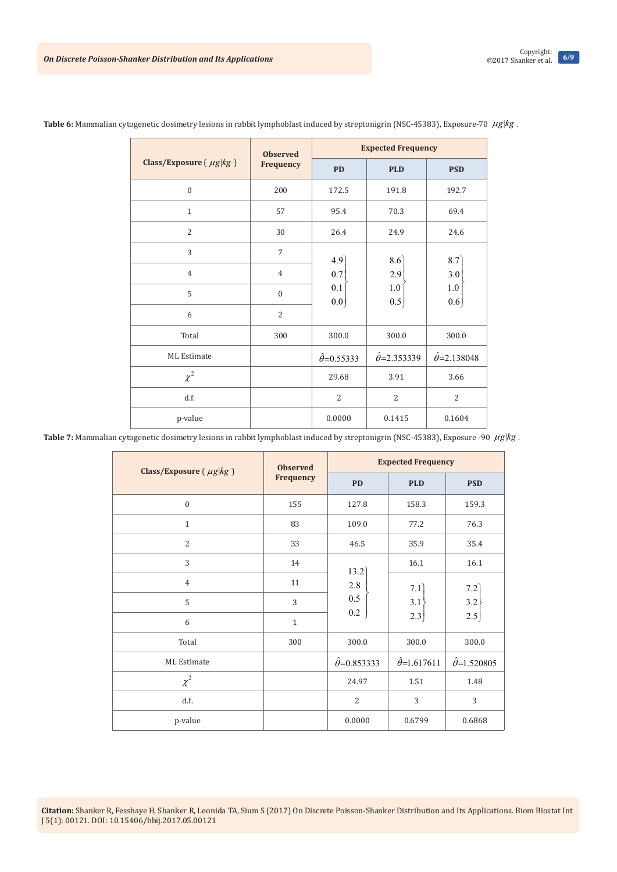| <b>Observed</b>             |                | <b>Expected Frequency</b> |                          |                           |
|-----------------------------|----------------|---------------------------|--------------------------|---------------------------|
| Class/Exposure $(\mu g kg)$ | Frequency      | <b>PD</b>                 | <b>PLD</b>               | <b>PSD</b>                |
| $\mathbf{0}$                | 200            | 172.5                     | 191.8                    | 192.7                     |
| $\mathbf{1}$                | 57             | 95.4                      | 70.3                     | 69.4                      |
| $\overline{2}$              | 30             | 26.4                      | 24.9                     | 24.6                      |
| 3                           | $\overline{7}$ | 4.9                       | 8.6                      | 8.7                       |
| $\overline{4}$              | $\overline{4}$ | 0.7                       | 2.9                      | $3.0$                     |
| 5                           | $\mathbf{0}$   | $0.1\,$<br>0.0            | $1.0\,$<br>0.5           | 1.0<br>0.6                |
| 6                           | $\overline{2}$ |                           |                          |                           |
| Total                       | 300            | 300.0                     | 300.0                    | 300.0                     |
| <b>ML</b> Estimate          |                | $\hat{\theta}$ =0.55333   | $\hat{\theta}$ =2.353339 | $\hat{\theta} = 2.138048$ |
| $\chi^2$                    |                | 29.68                     | 3.91                     | 3.66                      |
| d.f.                        |                | $\overline{2}$            | $\overline{2}$           | 2                         |
| p-value                     |                | 0.0000                    | 0.1415                   | 0.1604                    |

Table 6: Mammalian cytogenetic dosimetry lesions in rabbit lymphoblast induced by streptonigrin (NSC-45383), Exposure-70  $\mu$ g kg.

Table 7: Mammalian cytogenetic dosimetry lesions in rabbit lymphoblast induced by streptonigrin (NSC-45383), Exposure -90  $\mu$ g kg.

| Class/Exposure $(\mu g kg)$ | <b>Observed</b> | <b>Expected Frequency</b> |                          |                          |  |
|-----------------------------|-----------------|---------------------------|--------------------------|--------------------------|--|
|                             | Frequency       | <b>PD</b>                 | <b>PLD</b>               | <b>PSD</b>               |  |
| $\boldsymbol{0}$            | 155             | 127.8                     | 158.3                    | 159.3                    |  |
| $\mathbf{1}$                | 83              | 109.0                     | 77.2                     | 76.3                     |  |
| $\overline{2}$              | 33              | 46.5                      | 35.9                     | 35.4                     |  |
| 3                           | 14              | 13.2                      | 16.1                     | 16.1                     |  |
| $\overline{4}$              | 11              | 2.8                       | 7.1                      | 7.2                      |  |
| 5                           | 3               | 0.5                       | 3.1                      | 3.2                      |  |
| 6                           | $\mathbf{1}$    | 0.2                       | 2.3                      | 2.5                      |  |
| Total                       | 300             | 300.0                     | 300.0                    | 300.0                    |  |
| ML Estimate                 |                 | $\hat{\theta} = 0.853333$ | $\hat{\theta}$ =1.617611 | $\hat{\theta}$ =1.520805 |  |
| $\chi^2$                    |                 | 24.97                     | 1.51                     | 1.48                     |  |
| d.f.                        |                 | $\overline{2}$            | 3                        | 3                        |  |
| p-value                     |                 | 0.0000                    | 0.6799                   | 0.6868                   |  |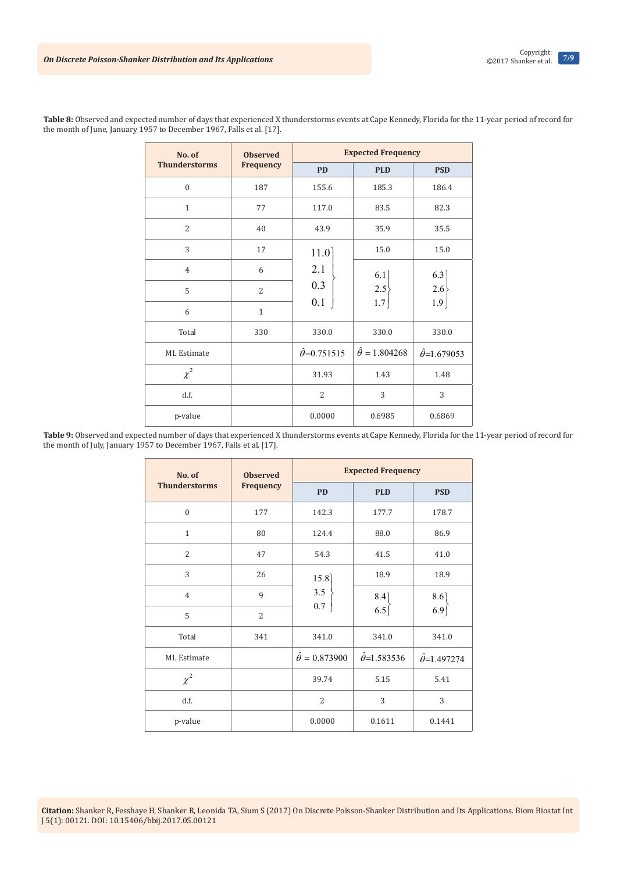| No. of               | <b>Observed</b> |                          | <b>Expected Frequency</b> |                          |
|----------------------|-----------------|--------------------------|---------------------------|--------------------------|
| <b>Thunderstorms</b> | Frequency       | <b>PD</b>                | <b>PLD</b>                | <b>PSD</b>               |
| $\mathbf{0}$         | 187             | 155.6                    | 185.3                     | 186.4                    |
| $\mathbf{1}$         | 77              | 117.0                    | 83.5                      | 82.3                     |
| $\overline{2}$       | 40              | 43.9                     | 35.9                      | 35.5                     |
| 3                    | 17              | 11.0                     | 15.0                      | 15.0                     |
| $\overline{4}$       | 6               | 2.1                      | 6.1                       | 6.3                      |
| 5                    | $\overline{2}$  | 0.3                      | 2.5                       | 2.6                      |
| 6                    | $\mathbf{1}$    | 0.1                      | $1.7\,$                   | $1.9\,$                  |
| Total                | 330             | 330.0                    | 330.0                     | 330.0                    |
| <b>ML</b> Estimate   |                 | $\hat{\theta}$ =0.751515 | $\hat{\theta} = 1.804268$ | $\hat{\theta}$ =1.679053 |
| $\chi^2$             |                 | 31.93                    | 1.43                      | 1.48                     |
| d.f.                 |                 | $\overline{2}$           | 3                         | 3                        |
| p-value              |                 | 0.0000                   | 0.6985                    | 0.6869                   |

**Table 8:** Observed and expected number of days that experienced X thunderstorms events at Cape Kennedy, Florida for the 11-year period of record for the month of June, January 1957 to December 1967, Falls et al. [17].

Table 9: Observed and expected number of days that experienced X thunderstorms events at Cape Kennedy, Florida for the 11-year period of record for the month of July, January 1957 to December 1967, Falls et al. [17].

| No. of               | <b>Observed</b> |                           | <b>Expected Frequency</b>                  |                          |
|----------------------|-----------------|---------------------------|--------------------------------------------|--------------------------|
| <b>Thunderstorms</b> | Frequency       | <b>PD</b>                 | <b>PLD</b>                                 | <b>PSD</b>               |
| $\mathbf{0}$         | 177             | 142.3                     | 177.7                                      | 178.7                    |
| $\mathbf{1}$         | 80              | 124.4                     | 88.0                                       | 86.9                     |
| $\overline{2}$       | 47              | 54.3                      | 41.5                                       | 41.0                     |
| 3                    | 26              | 15.8<br>$3.5$<br>0.7      | 18.9                                       | 18.9                     |
| $\overline{4}$       | 9               |                           | $\begin{bmatrix} 8.4 \\ 6.5 \end{bmatrix}$ | 8.6                      |
| 5                    | $\overline{2}$  |                           |                                            | 6.9                      |
| Total                | 341             | 341.0                     | 341.0                                      | 341.0                    |
| <b>ML</b> Estimate   |                 | $\hat{\theta} = 0.873900$ | $\hat{\theta}$ =1.583536                   | $\hat{\theta}$ =1.497274 |
| $\chi^2$             |                 | 39.74                     | 5.15                                       | 5.41                     |
| d.f.                 |                 | $\overline{2}$            | 3                                          | 3                        |
| p-value              |                 | 0.0000                    | 0.1611                                     | 0.1441                   |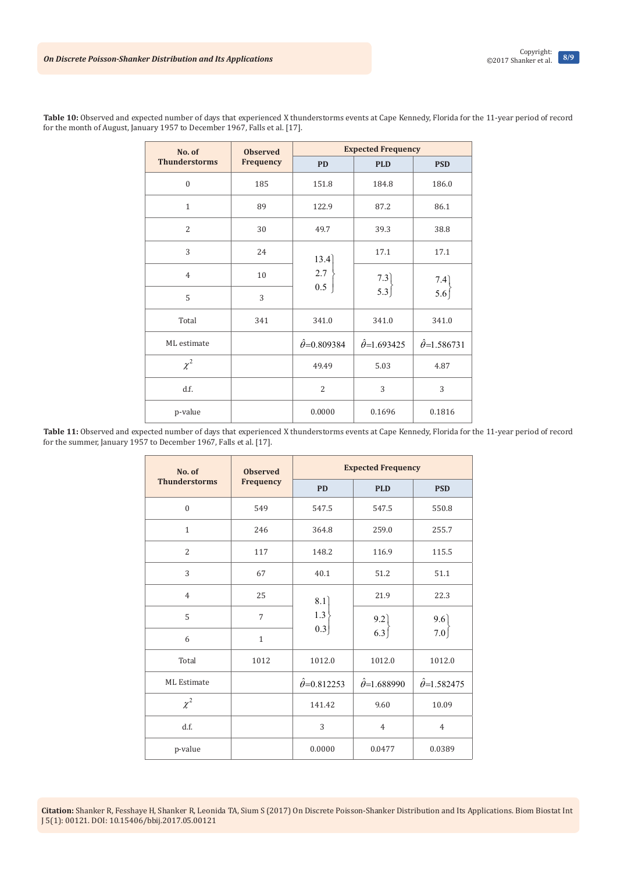| No. of               | <b>Observed</b>  | <b>Expected Frequency</b> |                           |                          |
|----------------------|------------------|---------------------------|---------------------------|--------------------------|
| <b>Thunderstorms</b> | <b>Frequency</b> | <b>PD</b>                 | <b>PLD</b>                | <b>PSD</b>               |
| $\mathbf{0}$         | 185              | 151.8                     | 184.8                     | 186.0                    |
| $\mathbf{1}$         | 89               | 122.9                     | 87.2                      | 86.1                     |
| $\overline{2}$       | 30               | 49.7                      | 39.3                      | 38.8                     |
| 3                    | 24               | 13.4                      | 17.1                      | 17.1                     |
| $\overline{4}$       | 10               | 2.7                       | 7.3                       | 7.4                      |
| 5                    | 3                | $0.5\,$                   | 5.3                       | 5.6                      |
| Total                | 341              | 341.0                     | 341.0                     | 341.0                    |
| ML estimate          |                  | $\hat{\theta} = 0.809384$ | $\hat{\theta} = 1.693425$ | $\hat{\theta}$ =1.586731 |
| $\chi^2$             |                  | 49.49                     | 5.03                      | 4.87                     |
| d.f.                 |                  | $\overline{2}$            | 3                         | 3                        |
| p-value              |                  | 0.0000                    | 0.1696                    | 0.1816                   |

**Table 10:** Observed and expected number of days that experienced X thunderstorms events at Cape Kennedy, Florida for the 11-year period of record for the month of August, January 1957 to December 1967, Falls et al. [17].

**Table 11:** Observed and expected number of days that experienced X thunderstorms events at Cape Kennedy, Florida for the 11-year period of record for the summer, January 1957 to December 1967, Falls et al. [17].

| No. of               | <b>Observed</b> |                          | <b>Expected Frequency</b> |                          |
|----------------------|-----------------|--------------------------|---------------------------|--------------------------|
| <b>Thunderstorms</b> | Frequency       | <b>PD</b>                | <b>PLD</b>                | <b>PSD</b>               |
| $\mathbf{0}$         | 549             | 547.5                    | 547.5                     | 550.8                    |
| $\mathbf{1}$         | 246             | 364.8                    | 259.0                     | 255.7                    |
| $\overline{2}$       | 117             | 148.2                    | 116.9                     | 115.5                    |
| 3                    | 67              | 40.1                     | 51.2                      | 51.1                     |
| $\overline{4}$       | 25              | 8.1<br>$1.3\,$<br>0.3    | 21.9                      | 22.3                     |
| 5                    | $\overline{7}$  |                          | 9.2                       | 9.6                      |
| 6                    | $\mathbf{1}$    |                          |                           | 6.3                      |
| Total                | 1012            | 1012.0                   | 1012.0                    | 1012.0                   |
| <b>ML</b> Estimate   |                 | $\hat{\theta}$ =0.812253 | $\hat{\theta}$ =1.688990  | $\hat{\theta}$ =1.582475 |
| $\chi^2$             |                 | 141.42                   | 9.60                      | 10.09                    |
| d.f.                 |                 | 3                        | $\overline{4}$            | $\overline{4}$           |
| p-value              |                 | 0.0000                   | 0.0477                    | 0.0389                   |